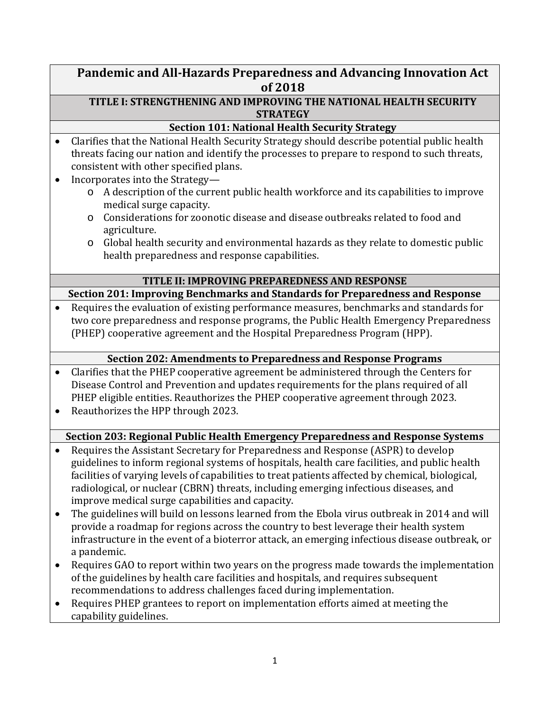# **Pandemic and All-Hazards Preparedness and Advancing Innovation Act of 2018**

## **TITLE I: STRENGTHENING AND IMPROVING THE NATIONAL HEALTH SECURITY STRATEGY**

## **Section 101: National Health Security Strategy**

- Clarifies that the National Health Security Strategy should describe potential public health threats facing our nation and identify the processes to prepare to respond to such threats, consistent with other specified plans.
- Incorporates into the Strategy
	- o A description of the current public health workforce and its capabilities to improve medical surge capacity.
	- o Considerations for zoonotic disease and disease outbreaks related to food and agriculture.
	- o Global health security and environmental hazards as they relate to domestic public health preparedness and response capabilities.

## **TITLE II: IMPROVING PREPAREDNESS AND RESPONSE**

**Section 201: Improving Benchmarks and Standards for Preparedness and Response**

• Requires the evaluation of existing performance measures, benchmarks and standards for two core preparedness and response programs, the Public Health Emergency Preparedness (PHEP) cooperative agreement and the Hospital Preparedness Program (HPP).

# **Section 202: Amendments to Preparedness and Response Programs**

- Clarifies that the PHEP cooperative agreement be administered through the Centers for Disease Control and Prevention and updates requirements for the plans required of all PHEP eligible entities. Reauthorizes the PHEP cooperative agreement through 2023.
- Reauthorizes the HPP through 2023.

# **Section 203: Regional Public Health Emergency Preparedness and Response Systems**

- Requires the Assistant Secretary for Preparedness and Response (ASPR) to develop guidelines to inform regional systems of hospitals, health care facilities, and public health facilities of varying levels of capabilities to treat patients affected by chemical, biological, radiological, or nuclear (CBRN) threats, including emerging infectious diseases, and improve medical surge capabilities and capacity.
- The guidelines will build on lessons learned from the Ebola virus outbreak in 2014 and will provide a roadmap for regions across the country to best leverage their health system infrastructure in the event of a bioterror attack, an emerging infectious disease outbreak, or a pandemic.
- Requires GAO to report within two years on the progress made towards the implementation of the guidelines by health care facilities and hospitals, and requires subsequent recommendations to address challenges faced during implementation.
- Requires PHEP grantees to report on implementation efforts aimed at meeting the capability guidelines.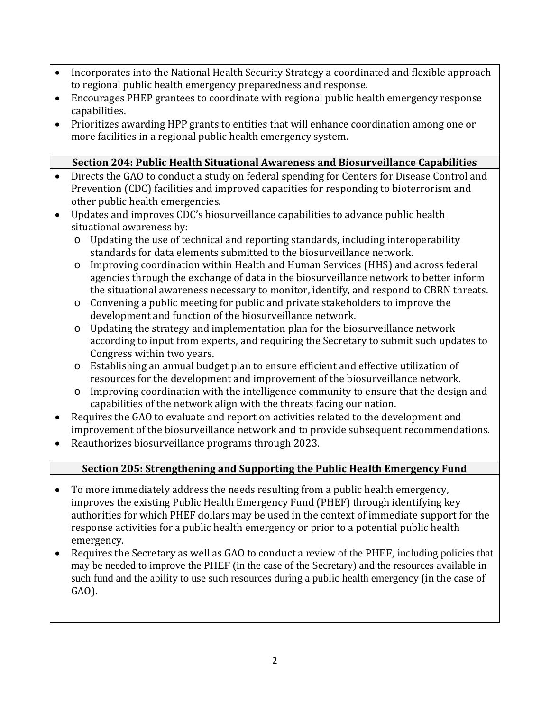- Incorporates into the National Health Security Strategy a coordinated and flexible approach to regional public health emergency preparedness and response.
- Encourages PHEP grantees to coordinate with regional public health emergency response capabilities.
- Prioritizes awarding HPP grants to entities that will enhance coordination among one or more facilities in a regional public health emergency system.

# **Section 204: Public Health Situational Awareness and Biosurveillance Capabilities**

- Directs the GAO to conduct a study on federal spending for Centers for Disease Control and Prevention (CDC) facilities and improved capacities for responding to bioterrorism and other public health emergencies.
- Updates and improves CDC's biosurveillance capabilities to advance public health situational awareness by:
	- o Updating the use of technical and reporting standards, including interoperability standards for data elements submitted to the biosurveillance network.
	- o Improving coordination within Health and Human Services (HHS) and across federal agencies through the exchange of data in the biosurveillance network to better inform the situational awareness necessary to monitor, identify, and respond to CBRN threats.
	- o Convening a public meeting for public and private stakeholders to improve the development and function of the biosurveillance network.
	- o Updating the strategy and implementation plan for the biosurveillance network according to input from experts, and requiring the Secretary to submit such updates to Congress within two years.
	- o Establishing an annual budget plan to ensure efficient and effective utilization of resources for the development and improvement of the biosurveillance network.
	- o Improving coordination with the intelligence community to ensure that the design and capabilities of the network align with the threats facing our nation.
- Requires the GAO to evaluate and report on activities related to the development and improvement of the biosurveillance network and to provide subsequent recommendations.
- Reauthorizes biosurveillance programs through 2023.

# **Section 205: Strengthening and Supporting the Public Health Emergency Fund**

- To more immediately address the needs resulting from a public health emergency, improves the existing Public Health Emergency Fund (PHEF) through identifying key authorities for which PHEF dollars may be used in the context of immediate support for the response activities for a public health emergency or prior to a potential public health emergency.
- Requires the Secretary as well as GAO to conduct a review of the PHEF, including policies that may be needed to improve the PHEF (in the case of the Secretary) and the resources available in such fund and the ability to use such resources during a public health emergency (in the case of GAO).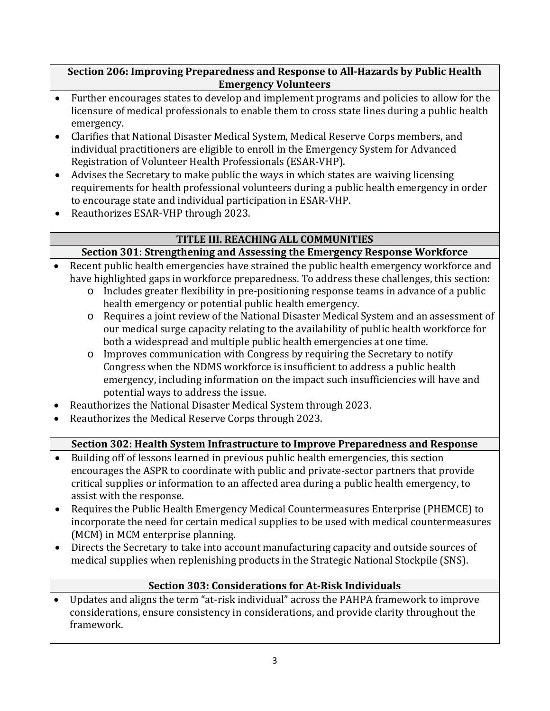## **Section 206: Improving Preparedness and Response to All-Hazards by Public Health Emergency Volunteers**

- Further encourages states to develop and implement programs and policies to allow for the licensure of medical professionals to enable them to cross state lines during a public health emergency.
- Clarifies that National Disaster Medical System, Medical Reserve Corps members, and individual practitioners are eligible to enroll in the Emergency System for Advanced Registration of Volunteer Health Professionals (ESAR-VHP).
- Advises the Secretary to make public the ways in which states are waiving licensing requirements for health professional volunteers during a public health emergency in order to encourage state and individual participation in ESAR-VHP.
- Reauthorizes ESAR-VHP through 2023.

# **TITLE III. REACHING ALL COMMUNITIES**

# **Section 301: Strengthening and Assessing the Emergency Response Workforce**

- Recent public health emergencies have strained the public health emergency workforce and have highlighted gaps in workforce preparedness. To address these challenges, this section:
	- o Includes greater flexibility in pre-positioning response teams in advance of a public health emergency or potential public health emergency.
	- o Requires a joint review of the National Disaster Medical System and an assessment of our medical surge capacity relating to the availability of public health workforce for both a widespread and multiple public health emergencies at one time.
	- o Improves communication with Congress by requiring the Secretary to notify Congress when the NDMS workforce is insufficient to address a public health emergency, including information on the impact such insufficiencies will have and potential ways to address the issue.
- Reauthorizes the National Disaster Medical System through 2023.
- Reauthorizes the Medical Reserve Corps through 2023.

# **Section 302: Health System Infrastructure to Improve Preparedness and Response**

- Building off of lessons learned in previous public health emergencies, this section encourages the ASPR to coordinate with public and private-sector partners that provide critical supplies or information to an affected area during a public health emergency, to assist with the response.
- Requires the Public Health Emergency Medical Countermeasures Enterprise (PHEMCE) to incorporate the need for certain medical supplies to be used with medical countermeasures (MCM) in MCM enterprise planning.
- Directs the Secretary to take into account manufacturing capacity and outside sources of medical supplies when replenishing products in the Strategic National Stockpile (SNS).

# **Section 303: Considerations for At-Risk Individuals**

• Updates and aligns the term "at-risk individual" across the PAHPA framework to improve considerations, ensure consistency in considerations, and provide clarity throughout the framework.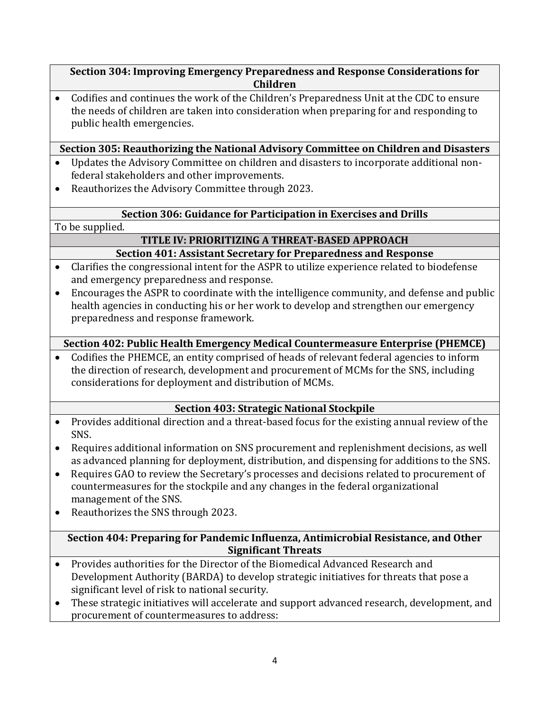#### **Section 304: Improving Emergency Preparedness and Response Considerations for Children**

• Codifies and continues the work of the Children's Preparedness Unit at the CDC to ensure the needs of children are taken into consideration when preparing for and responding to public health emergencies.

## **Section 305: Reauthorizing the National Advisory Committee on Children and Disasters**

- Updates the Advisory Committee on children and disasters to incorporate additional nonfederal stakeholders and other improvements.
- Reauthorizes the Advisory Committee through 2023.

## **Section 306: Guidance for Participation in Exercises and Drills**

To be supplied.

#### **TITLE IV: PRIORITIZING A THREAT-BASED APPROACH Section 401: Assistant Secretary for Preparedness and Response**

- Clarifies the congressional intent for the ASPR to utilize experience related to biodefense and emergency preparedness and response.
- Encourages the ASPR to coordinate with the intelligence community, and defense and public health agencies in conducting his or her work to develop and strengthen our emergency preparedness and response framework.

# **Section 402: Public Health Emergency Medical Countermeasure Enterprise (PHEMCE)**

• Codifies the PHEMCE, an entity comprised of heads of relevant federal agencies to inform the direction of research, development and procurement of MCMs for the SNS, including considerations for deployment and distribution of MCMs.

## **Section 403: Strategic National Stockpile**

- Provides additional direction and a threat-based focus for the existing annual review of the SNS.
- Requires additional information on SNS procurement and replenishment decisions, as well as advanced planning for deployment, distribution, and dispensing for additions to the SNS.
- Requires GAO to review the Secretary's processes and decisions related to procurement of countermeasures for the stockpile and any changes in the federal organizational management of the SNS.
- Reauthorizes the SNS through 2023.

## **Section 404: Preparing for Pandemic Influenza, Antimicrobial Resistance, and Other Significant Threats**

- Provides authorities for the Director of the Biomedical Advanced Research and Development Authority (BARDA) to develop strategic initiatives for threats that pose a significant level of risk to national security.
- These strategic initiatives will accelerate and support advanced research, development, and procurement of countermeasures to address: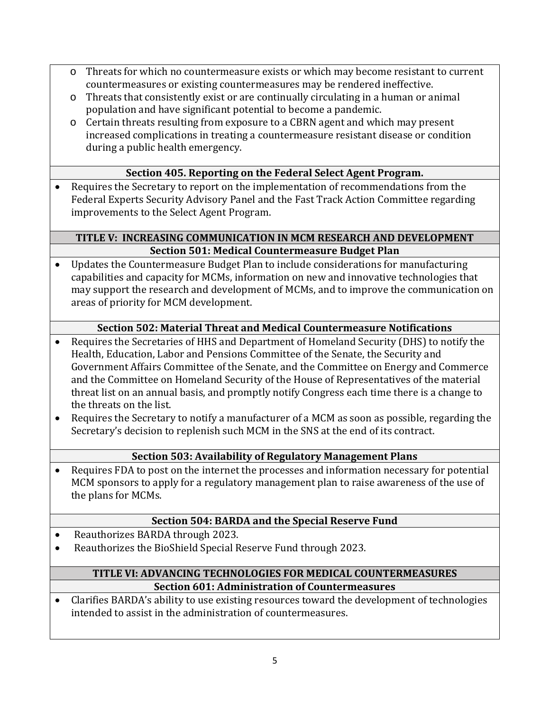- o Threats for which no countermeasure exists or which may become resistant to current countermeasures or existing countermeasures may be rendered ineffective.
- o Threats that consistently exist or are continually circulating in a human or animal population and have significant potential to become a pandemic.
- o Certain threats resulting from exposure to a CBRN agent and which may present increased complications in treating a countermeasure resistant disease or condition during a public health emergency.

# **Section 405. Reporting on the Federal Select Agent Program.**

• Requires the Secretary to report on the implementation of recommendations from the Federal Experts Security Advisory Panel and the Fast Track Action Committee regarding improvements to the Select Agent Program.

## **TITLE V: INCREASING COMMUNICATION IN MCM RESEARCH AND DEVELOPMENT Section 501: Medical Countermeasure Budget Plan**

• Updates the Countermeasure Budget Plan to include considerations for manufacturing capabilities and capacity for MCMs, information on new and innovative technologies that may support the research and development of MCMs, and to improve the communication on areas of priority for MCM development.

## **Section 502: Material Threat and Medical Countermeasure Notifications**

- Requires the Secretaries of HHS and Department of Homeland Security (DHS) to notify the Health, Education, Labor and Pensions Committee of the Senate, the Security and Government Affairs Committee of the Senate, and the Committee on Energy and Commerce and the Committee on Homeland Security of the House of Representatives of the material threat list on an annual basis, and promptly notify Congress each time there is a change to the threats on the list.
- Requires the Secretary to notify a manufacturer of a MCM as soon as possible, regarding the Secretary's decision to replenish such MCM in the SNS at the end of its contract.

## **Section 503: Availability of Regulatory Management Plans**

• Requires FDA to post on the internet the processes and information necessary for potential MCM sponsors to apply for a regulatory management plan to raise awareness of the use of the plans for MCMs.

## **Section 504: BARDA and the Special Reserve Fund**

- Reauthorizes BARDA through 2023.
- Reauthorizes the BioShield Special Reserve Fund through 2023.

#### **TITLE VI: ADVANCING TECHNOLOGIES FOR MEDICAL COUNTERMEASURES Section 601: Administration of Countermeasures**

• Clarifies BARDA's ability to use existing resources toward the development of technologies intended to assist in the administration of countermeasures.